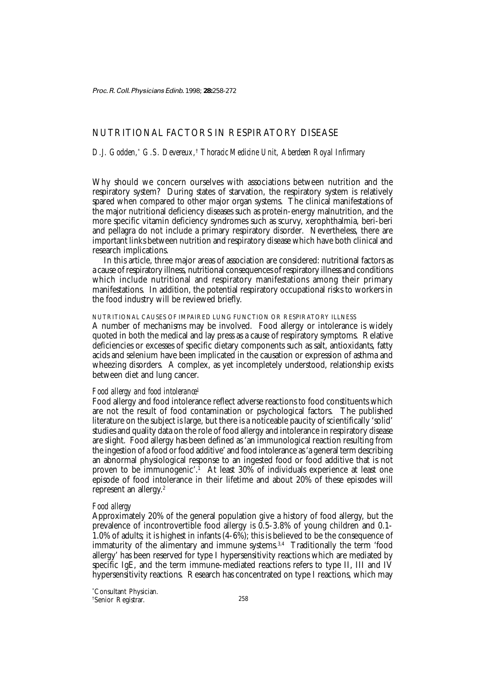Proc. R. Coll. Physicians Edinb. 1998; **28:**258-272

# NUTRITIONAL FACTORS IN RESPIRATORY DISEASE

## *D.J. Godden,\* G.S. Devereux,*†  *Thoracic Medicine Unit, Aberdeen Royal Infirmary*

Why should we concern ourselves with associations between nutrition and the respiratory system? During states of starvation, the respiratory system is relatively spared when compared to other major organ systems. The clinical manifestations of the major nutritional deficiency diseases such as protein-energy malnutrition, and the more specific vitamin deficiency syndromes such as scurvy, xerophthalmia, beri-beri and pellagra do not include a primary respiratory disorder. Nevertheless, there are important links between nutrition and respiratory disease which have both clinical and research implications.

In this article, three major areas of association are considered: nutritional factors as a cause of respiratory illness, nutritional consequences of respiratory illness and conditions which include nutritional and respiratory manifestations among their primary manifestations. In addition, the potential respiratory occupational risks to workers in the food industry will be reviewed briefly.

## NUTRITIONAL CAUSES OF IMPAIRED LUNG FUNCTION OR RESPIRATORY ILLNESS

A number of mechanisms may be involved. Food allergy or intolerance is widely quoted in both the medical and lay press as a cause of respiratory symptoms. Relative deficiencies or excesses of specific dietary components such as salt, antioxidants, fatty acids and selenium have been implicated in the causation or expression of asthma and wheezing disorders. A complex, as yet incompletely understood, relationship exists between diet and lung cancer.

## *Food allergy and food intolerance1*

Food allergy and food intolerance reflect adverse reactions to food constituents which are not the result of food contamination or psychological factors. The published literature on the subject is large, but there is a noticeable paucity of scientifically 'solid' studies and quality data on the role of food allergy and intolerance in respiratory disease are slight. Food allergy has been defined as 'an immunological reaction resulting from the ingestion of a food or food additive' and food intolerance as 'a general term describing an abnormal physiological response to an ingested food or food additive that is not proven to be immunogenic'.<sup>1</sup> At least 30% of individuals experience at least one episode of food intolerance in their lifetime and about 20% of these episodes will represent an allergy.<sup>2</sup>

## *Food allergy*

Approximately 20% of the general population give a history of food allergy, but the prevalence of incontrovertible food allergy is 0.5-3.8% of young children and 0.1- 1.0% of adults; it is highest in infants (4-6%); this is believed to be the consequence of immaturity of the alimentary and immune systems.<sup>3,4</sup> Traditionally the term 'food allergy' has been reserved for type I hypersensitivity reactions which are mediated by specific IgE, and the term immune-mediated reactions refers to type II, III and IV hypersensitivity reactions. Research has concentrated on type I reactions, which may

\* Consultant Physician. † Senior Registrar.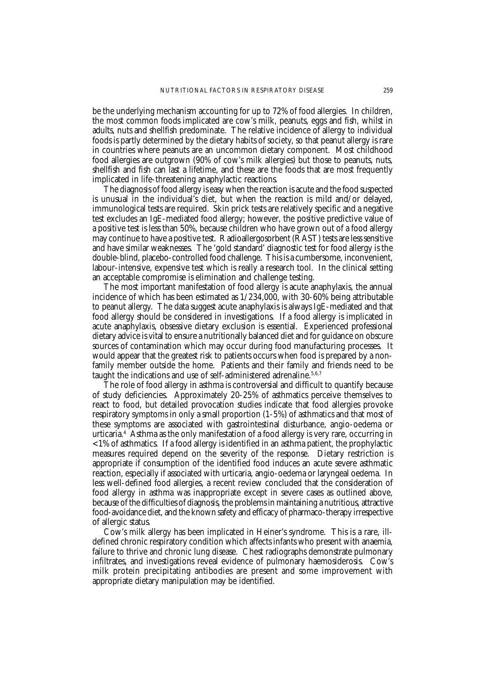be the underlying mechanism accounting for up to 72% of food allergies. In children, the most common foods implicated are cow's milk, peanuts, eggs and fish, whilst in adults, nuts and shellfish predominate. The relative incidence of allergy to individual foods is partly determined by the dietary habits of society, so that peanut allergy is rare in countries where peanuts are an uncommon dietary component. Most childhood food allergies are outgrown (90% of cow's milk allergies) but those to peanuts, nuts, shellfish and fish can last a lifetime, and these are the foods that are most frequently implicated in life-threatening anaphylactic reactions.

The diagnosis of food allergy is easy when the reaction is acute and the food suspected is unusual in the individual's diet, but when the reaction is mild and/or delayed, immunological tests are required. Skin prick tests are relatively specific and a negative test excludes an IgE-mediated food allergy; however, the positive predictive value of a positive test is less than 50%, because children who have grown out of a food allergy may continue to have a positive test. Radioallergosorbent (RAST) tests are less sensitive and have similar weaknesses. The 'gold standard' diagnostic test for food allergy is the double-blind, placebo-controlled food challenge. This is a cumbersome, inconvenient, labour-intensive, expensive test which is really a research tool. In the clinical setting an acceptable compromise is elimination and challenge testing.

The most important manifestation of food allergy is acute anaphylaxis, the annual incidence of which has been estimated as 1/234,000, with 30-60% being attributable to peanut allergy. The data suggest acute anaphylaxis is always IgE-mediated and that food allergy should be considered in investigations. If a food allergy is implicated in acute anaphylaxis, obsessive dietary exclusion is essential. Experienced professional dietary advice is vital to ensure a nutritionally balanced diet and for guidance on obscure sources of contamination which may occur during food manufacturing processes. It would appear that the greatest risk to patients occurs when food is prepared by a nonfamily member outside the home. Patients and their family and friends need to be taught the indications and use of self-administered adrenaline.<sup>5,6,7</sup>

The role of food allergy in asthma is controversial and difficult to quantify because of study deficiencies. Approximately 20-25% of asthmatics perceive themselves to react to food, but detailed provocation studies indicate that food allergies provoke respiratory symptoms in only a small proportion (1-5%) of asthmatics and that most of these symptoms are associated with gastrointestinal disturbance, angio-oedema or urticaria.4 Asthma as the only manifestation of a food allergy is very rare, occurring in <1% of asthmatics. If a food allergy is identified in an asthma patient, the prophylactic measures required depend on the severity of the response. Dietary restriction is appropriate if consumption of the identified food induces an acute severe asthmatic reaction, especially if associated with urticaria, angio-oedema or laryngeal oedema. In less well-defined food allergies, a recent review concluded that the consideration of food allergy in asthma was inappropriate except in severe cases as outlined above, because of the difficulties of diagnosis, the problems in maintaining a nutritious, attractive food-avoidance diet, and the known safety and efficacy of pharmaco-therapy irrespective of allergic status.

Cow's milk allergy has been implicated in Heiner's syndrome. This is a rare, illdefined chronic respiratory condition which affects infants who present with anaemia, failure to thrive and chronic lung disease. Chest radiographs demonstrate pulmonary infiltrates, and investigations reveal evidence of pulmonary haemosiderosis. Cow's milk protein precipitating antibodies are present and some improvement with appropriate dietary manipulation may be identified.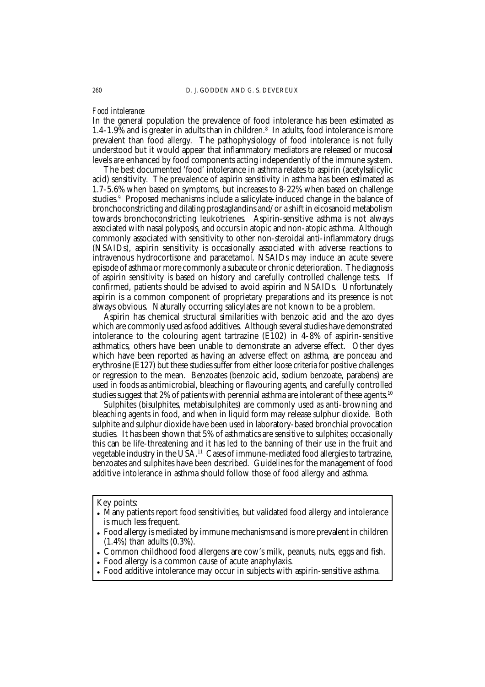## *Food intolerance*

In the general population the prevalence of food intolerance has been estimated as 1.4-1.9% and is greater in adults than in children.8 In adults, food intolerance is more prevalent than food allergy. The pathophysiology of food intolerance is not fully understood but it would appear that inflammatory mediators are released or mucosal levels are enhanced by food components acting independently of the immune system.

The best documented 'food' intolerance in asthma relates to aspirin (acetylsalicylic acid) sensitivity. The prevalence of aspirin sensitivity in asthma has been estimated as 1.7-5.6% when based on symptoms, but increases to 8-22% when based on challenge studies.<sup>9</sup> Proposed mechanisms include a salicylate-induced change in the balance of bronchoconstricting and dilating prostaglandins and/or a shift in eicosanoid metabolism towards bronchoconstricting leukotrienes. Aspirin-sensitive asthma is not always associated with nasal polyposis, and occurs in atopic and non-atopic asthma. Although commonly associated with sensitivity to other non-steroidal anti-inflammatory drugs (NSAIDs), aspirin sensitivity is occasionally associated with adverse reactions to intravenous hydrocortisone and paracetamol. NSAIDs may induce an acute severe episode of asthma or more commonly a subacute or chronic deterioration. The diagnosis of aspirin sensitivity is based on history and carefully controlled challenge tests. If confirmed, patients should be advised to avoid aspirin and NSAIDs. Unfortunately aspirin is a common component of proprietary preparations and its presence is not always obvious. Naturally occurring salicylates are not known to be a problem.

Aspirin has chemical structural similarities with benzoic acid and the azo dyes which are commonly used as food additives. Although several studies have demonstrated intolerance to the colouring agent tartrazine (E102) in 4-8% of aspirin-sensitive asthmatics, others have been unable to demonstrate an adverse effect. Other dyes which have been reported as having an adverse effect on asthma, are ponceau and erythrosine (E127) but these studies suffer from either loose criteria for positive challenges or regression to the mean. Benzoates (benzoic acid, sodium benzoate, parabens) are used in foods as antimicrobial, bleaching or flavouring agents, and carefully controlled studies suggest that 2% of patients with perennial asthma are intolerant of these agents.<sup>10</sup>

Sulphites (bisulphites, metabisulphites) are commonly used as anti-browning and bleaching agents in food, and when in liquid form may release sulphur dioxide. Both sulphite and sulphur dioxide have been used in laboratory-based bronchial provocation studies. It has been shown that 5% of asthmatics are sensitive to sulphites; occasionally this can be life-threatening and it has led to the banning of their use in the fruit and vegetable industry in the USA.11 Cases of immune-mediated food allergies to tartrazine, benzoates and sulphites have been described. Guidelines for the management of food additive intolerance in asthma should follow those of food allergy and asthma.

Key points:

Many patients report food sensitivities, but validated food allergy and intolerance is much less frequent.

Food allergy is mediated by immune mechanisms and is more prevalent in children (1.4%) than adults (0.3%).

Common childhood food allergens are cow's milk, peanuts, nuts, eggs and fish.

Food allergy is a common cause of acute anaphylaxis.

Food additive intolerance may occur in subjects with aspirin-sensitive asthma.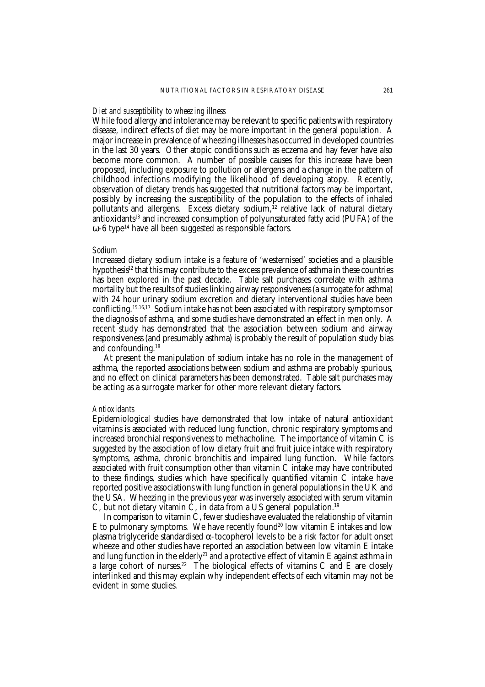## *Diet and susceptibility to wheezing illness*

While food allergy and intolerance may be relevant to specific patients with respiratory disease, indirect effects of diet may be more important in the general population. A major increase in prevalence of wheezing illnesses has occurred in developed countries in the last 30 years. Other atopic conditions such as eczema and hay fever have also become more common. A number of possible causes for this increase have been proposed, including exposure to pollution or allergens and a change in the pattern of childhood infections modifying the likelihood of developing atopy. Recently, observation of dietary trends has suggested that nutritional factors may be important, possibly by increasing the susceptibility of the population to the effects of inhaled pollutants and allergens. Excess dietary sodium, $^{12}$  relative lack of natural dietary antioxidants<sup>13</sup> and increased consumption of polyunsaturated fatty acid (PUFA) of the  $\omega$ -6 type<sup>14</sup> have all been suggested as responsible factors.

#### *Sodium*

Increased dietary sodium intake is a feature of 'westernised' societies and a plausible hypothesis<sup>12</sup> that this may contribute to the excess prevalence of asthma in these countries has been explored in the past decade. Table salt purchases correlate with asthma mortality but the results of studies linking airway responsiveness (a surrogate for asthma) with 24 hour urinary sodium excretion and dietary interventional studies have been conflicting.15,16,17 Sodium intake has not been associated with respiratory symptoms or the diagnosis of asthma, and some studies have demonstrated an effect in men only. A recent study has demonstrated that the association between sodium and airway responsiveness (and presumably asthma) is probably the result of population study bias and confounding.18

At present the manipulation of sodium intake has no role in the management of asthma, the reported associations between sodium and asthma are probably spurious, and no effect on clinical parameters has been demonstrated. Table salt purchases may be acting as a surrogate marker for other more relevant dietary factors.

#### *Antioxidants*

Epidemiological studies have demonstrated that low intake of natural antioxidant vitamins is associated with reduced lung function, chronic respiratory symptoms and increased bronchial responsiveness to methacholine. The importance of vitamin C is suggested by the association of low dietary fruit and fruit juice intake with respiratory symptoms, asthma, chronic bronchitis and impaired lung function. While factors associated with fruit consumption other than vitamin C intake may have contributed to these findings, studies which have specifically quantified vitamin C intake have reported positive associations with lung function in general populations in the UK and the USA. Wheezing in the previous year was inversely associated with serum vitamin C, but not dietary vitamin  $\dot{C}$ , in data from a US general population.<sup>19</sup>

In comparison to vitamin C, fewer studies have evaluated the relationship of vitamin E to pulmonary symptoms. We have recently found<sup>20</sup> low vitamin E intakes and low plasma triglyceride standardised  $α$ -tocopherol levels to be a risk factor for adult onset wheeze and other studies have reported an association between low vitamin E intake and lung function in the elderly<sup>21</sup> and a protective effect of vitamin E against asthma in a large cohort of nurses.<sup>22</sup> The biological effects of vitamins C and E are closely interlinked and this may explain why independent effects of each vitamin may not be evident in some studies.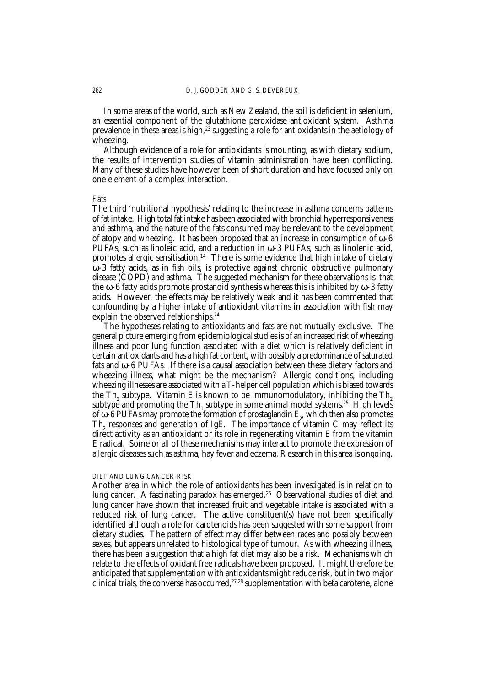In some areas of the world, such as New Zealand, the soil is deficient in selenium, an essential component of the glutathione peroxidase antioxidant system. Asthma prevalence in these areas is high, $\bar{z}^3$  suggesting a role for antioxidants in the aetiology of wheezing.

Although evidence of a role for antioxidants is mounting, as with dietary sodium, the results of intervention studies of vitamin administration have been conflicting. Many of these studies have however been of short duration and have focused only on one element of a complex interaction.

#### *Fats*

The third 'nutritional hypothesis' relating to the increase in asthma concerns patterns of fat intake. High total fat intake has been associated with bronchial hyperresponsiveness and asthma, and the nature of the fats consumed may be relevant to the development of atopy and wheezing. It has been proposed that an increase in consumption of  $ω-6$ PUFAs, such as linoleic acid, and a reduction in ω-3 PUFAs, such as linolenic acid, promotes allergic sensitisation.<sup>14</sup> There is some evidence that high intake of dietary ω-3 fatty acids, as in fish oils, is protective against chronic obstructive pulmonary disease (COPD) and asthma. The suggested mechanism for these observations is that the ω-6 fatty acids promote prostanoid synthesis whereas this is inhibited by ω-3 fatty acids. However, the effects may be relatively weak and it has been commented that confounding by a higher intake of antioxidant vitamins in association with fish may explain the observed relationships.<sup>24</sup>

The hypotheses relating to antioxidants and fats are not mutually exclusive. The general picture emerging from epidemiological studies is of an increased risk of wheezing illness and poor lung function associated with a diet which is relatively deficient in certain antioxidants and has a high fat content, with possibly a predominance of saturated fats and ω-6 PUFAs. If there is a causal association between these dietary factors and wheezing illness, what might be the mechanism? Allergic conditions, including wheezing illnesses are associated with a T-helper cell population which is biased towards the Th<sub>2</sub> subtype. Vitamin E is known to be immunomodulatory, inhibiting the Th<sub>2</sub> subtype and promoting the  $\mathrm{Th}_1$  subtype in some animal model systems. $^{25}$  High levels of ω-6 PUFAs may promote the formation of prostaglandin  $E_2$ , which then also promotes  $Th_2$  responses and generation of IgE. The importance of vitamin C may reflect its direct activity as an antioxidant or its role in regenerating vitamin E from the vitamin E radical. Some or all of these mechanisms may interact to promote the expression of allergic diseases such as asthma, hay fever and eczema. Research in this area is ongoing.

#### DIET AND LUNG CANCER RISK

Another area in which the role of antioxidants has been investigated is in relation to lung cancer. A fascinating paradox has emerged.<sup>26</sup> Observational studies of diet and lung cancer have shown that increased fruit and vegetable intake is associated with a reduced risk of lung cancer. The active constituent(s) have not been specifically identified although a role for carotenoids has been suggested with some support from dietary studies. The pattern of effect may differ between races and possibly between sexes, but appears unrelated to histological type of tumour. As with wheezing illness, there has been a suggestion that a high fat diet may also be a risk. Mechanisms which relate to the effects of oxidant free radicals have been proposed. It might therefore be anticipated that supplementation with antioxidants might reduce risk, but in two major clinical trials, the converse has occurred,<sup>27,28</sup> supplementation with beta carotene, alone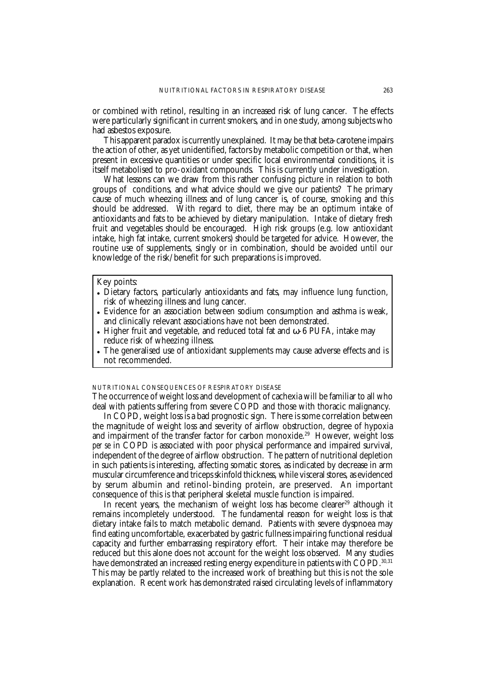or combined with retinol, resulting in an increased risk of lung cancer. The effects were particularly significant in current smokers, and in one study, among subjects who had asbestos exposure.

This apparent paradox is currently unexplained. It may be that beta-carotene impairs the action of other, as yet unidentified, factors by metabolic competition or that, when present in excessive quantities or under specific local environmental conditions, it is itself metabolised to pro-oxidant compounds. This is currently under investigation.

What lessons can we draw from this rather confusing picture in relation to both groups of conditions, and what advice should we give our patients? The primary cause of much wheezing illness and of lung cancer is, of course, smoking and this should be addressed. With regard to diet, there may be an optimum intake of antioxidants and fats to be achieved by dietary manipulation. Intake of dietary fresh fruit and vegetables should be encouraged. High risk groups (e.g. low antioxidant intake, high fat intake, current smokers) should be targeted for advice. However, the routine use of supplements, singly or in combination, should be avoided until our knowledge of the risk/benefit for such preparations is improved.

#### Key points:

- Dietary factors, particularly antioxidants and fats, may influence lung function, risk of wheezing illness and lung cancer.
- Evidence for an association between sodium consumption and asthma is weak, and clinically relevant associations have not been demonstrated.
- Higher fruit and vegetable, and reduced total fat and  $\omega$ -6 PUFA, intake may reduce risk of wheezing illness.
- The generalised use of antioxidant supplements may cause adverse effects and is not recommended.

## NUTRITIONAL CONSEQUENCES OF RESPIRATORY DISEASE

The occurrence of weight loss and development of cachexia will be familiar to all who deal with patients suffering from severe COPD and those with thoracic malignancy.

In COPD, weight loss is a bad prognostic sign. There is some correlation between the magnitude of weight loss and severity of airflow obstruction, degree of hypoxia and impairment of the transfer factor for carbon monoxide.<sup>29</sup> However, weight loss *per se* in COPD is associated with poor physical performance and impaired survival, independent of the degree of airflow obstruction. The pattern of nutritional depletion in such patients is interesting, affecting somatic stores, as indicated by decrease in arm muscular circumference and triceps skinfold thickness, while visceral stores, as evidenced by serum albumin and retinol-binding protein, are preserved. An important consequence of this is that peripheral skeletal muscle function is impaired.

In recent years, the mechanism of weight loss has become clearer<sup>29</sup> although it remains incompletely understood. The fundamental reason for weight loss is that dietary intake fails to match metabolic demand. Patients with severe dyspnoea may find eating uncomfortable, exacerbated by gastric fullness impairing functional residual capacity and further embarrassing respiratory effort. Their intake may therefore be reduced but this alone does not account for the weight loss observed. Many studies have demonstrated an increased resting energy expenditure in patients with COPD.<sup>30,31</sup> This may be partly related to the increased work of breathing but this is not the sole explanation. Recent work has demonstrated raised circulating levels of inflammatory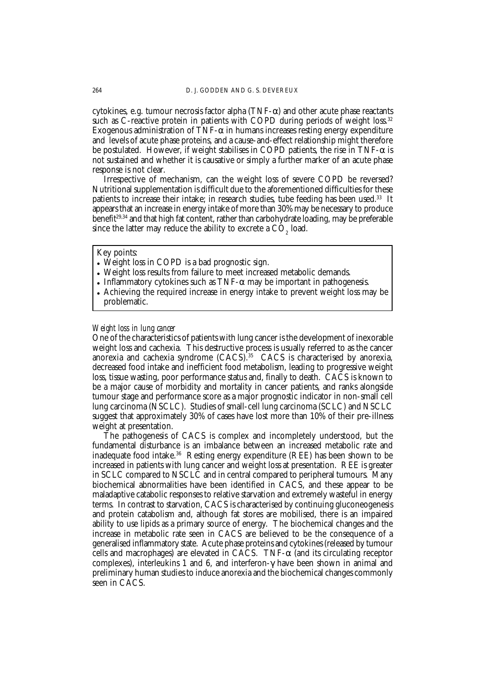cytokines, e.g. tumour necrosis factor alpha (TNF-α) and other acute phase reactants such as C-reactive protein in patients with COPD during periods of weight loss.<sup>32</sup> Exogenous administration of TNF- $\alpha$  in humans increases resting energy expenditure and levels of acute phase proteins, and a cause-and-effect relationship might therefore be postulated. However, if weight stabilises in COPD patients, the rise in  $TNF-\alpha$  is not sustained and whether it is causative or simply a further marker of an acute phase response is not clear.

Irrespective of mechanism, can the weight loss of severe COPD be reversed? Nutritional supplementation is difficult due to the aforementioned difficulties for these patients to increase their intake; in research studies, tube feeding has been used.<sup>33</sup> It appears that an increase in energy intake of more than 30% may be necessary to produce benefit<sup>29,34</sup> and that high fat content, rather than carbohydrate loading, may be preferable since the latter may reduce the ability to excrete a  $\mathrm{CO}_2^{}$  load.

#### Key points:

- Weight loss in COPD is a bad prognostic sign.
- Weight loss results from failure to meet increased metabolic demands.
- Inflammatory cytokines such as TNF- $\alpha$  may be important in pathogenesis.
- Achieving the required increase in energy intake to prevent weight loss may be problematic.

## *Weight loss in lung cancer*

One of the characteristics of patients with lung cancer is the development of inexorable weight loss and cachexia. This destructive process is usually referred to as the cancer anorexia and cachexia syndrome (CACS).<sup>35</sup> CACS is characterised by anorexia, decreased food intake and inefficient food metabolism, leading to progressive weight loss, tissue wasting, poor performance status and, finally to death. CACS is known to be a major cause of morbidity and mortality in cancer patients, and ranks alongside tumour stage and performance score as a major prognostic indicator in non-small cell lung carcinoma (NSCLC). Studies of small-cell lung carcinoma (SCLC) and NSCLC suggest that approximately 30% of cases have lost more than 10% of their pre-illness weight at presentation.

The pathogenesis of CACS is complex and incompletely understood, but the fundamental disturbance is an imbalance between an increased metabolic rate and inadequate food intake.<sup>36</sup> Resting energy expenditure (REE) has been shown to be increased in patients with lung cancer and weight loss at presentation. REE is greater in SCLC compared to NSCLC and in central compared to peripheral tumours. Many biochemical abnormalities have been identified in CACS, and these appear to be maladaptive catabolic responses to relative starvation and extremely wasteful in energy terms. In contrast to starvation, CACS is characterised by continuing gluconeogenesis and protein catabolism and, although fat stores are mobilised, there is an impaired ability to use lipids as a primary source of energy. The biochemical changes and the increase in metabolic rate seen in CACS are believed to be the consequence of a generalised inflammatory state. Acute phase proteins and cytokines (released by tumour cells and macrophages) are elevated in CACS. TNF- $\alpha$  (and its circulating receptor complexes), interleukins 1 and 6, and interferon-γ have been shown in animal and preliminary human studies to induce anorexia and the biochemical changes commonly seen in CACS.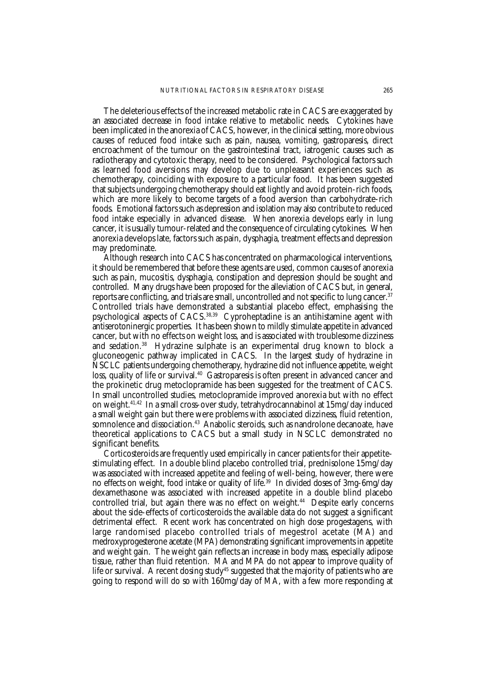The deleterious effects of the increased metabolic rate in CACS are exaggerated by an associated decrease in food intake relative to metabolic needs. Cytokines have been implicated in the anorexia of CACS, however, in the clinical setting, more obvious causes of reduced food intake such as pain, nausea, vomiting, gastroparesis, direct encroachment of the tumour on the gastrointestinal tract, iatrogenic causes such as radiotherapy and cytotoxic therapy, need to be considered. Psychological factors such as learned food aversions may develop due to unpleasant experiences such as chemotherapy, coinciding with exposure to a particular food. It has been suggested that subjects undergoing chemotherapy should eat lightly and avoid protein-rich foods, which are more likely to become targets of a food aversion than carbohydrate-rich foods. Emotional factors such as depression and isolation may also contribute to reduced food intake especially in advanced disease. When anorexia develops early in lung cancer, it is usually tumour-related and the consequence of circulating cytokines. When anorexia develops late, factors such as pain, dysphagia, treatment effects and depression may predominate.

Although research into CACS has concentrated on pharmacological interventions, it should be remembered that before these agents are used, common causes of anorexia such as pain, mucositis, dysphagia, constipation and depression should be sought and controlled. Many drugs have been proposed for the alleviation of CACS but, in general, reports are conflicting, and trials are small, uncontrolled and not specific to lung cancer.37 Controlled trials have demonstrated a substantial placebo effect, emphasising the psychological aspects of CACS.38,39 Cyproheptadine is an antihistamine agent with antiserotoninergic properties. It has been shown to mildly stimulate appetite in advanced cancer, but with no effects on weight loss, and is associated with troublesome dizziness and sedation.<sup>38</sup> Hydrazine sulphate is an experimental drug known to block a gluconeogenic pathway implicated in CACS. In the largest study of hydrazine in NSCLC patients undergoing chemotherapy, hydrazine did not influence appetite, weight loss, quality of life or survival.<sup>40</sup> Gastroparesis is often present in advanced cancer and the prokinetic drug metoclopramide has been suggested for the treatment of CACS. In small uncontrolled studies, metoclopramide improved anorexia but with no effect on weight.41,42 In a small cross-over study, tetrahydrocannabinol at 15mg/day induced a small weight gain but there were problems with associated dizziness, fluid retention, somnolence and dissociation.<sup>43</sup> Anabolic steroids, such as nandrolone decanoate, have theoretical applications to CACS but a small study in NSCLC demonstrated no significant benefits.

Corticosteroids are frequently used empirically in cancer patients for their appetitestimulating effect. In a double blind placebo controlled trial, prednisolone 15mg/day was associated with increased appetite and feeling of well-being, however, there were no effects on weight, food intake or quality of life.<sup>39</sup> In divided doses of 3mg-6mg/day dexamethasone was associated with increased appetite in a double blind placebo controlled trial, but again there was no effect on weight.<sup>44</sup> Despite early concerns about the side-effects of corticosteroids the available data do not suggest a significant detrimental effect. Recent work has concentrated on high dose progestagens, with large randomised placebo controlled trials of megestrol acetate (MA) and medroxyprogesterone acetate (MPA) demonstrating significant improvements in appetite and weight gain. The weight gain reflects an increase in body mass, especially adipose tissue, rather than fluid retention. MA and MPA do not appear to improve quality of life or survival. A recent dosing study<sup>45</sup> suggested that the majority of patients who are going to respond will do so with 160mg/day of MA, with a few more responding at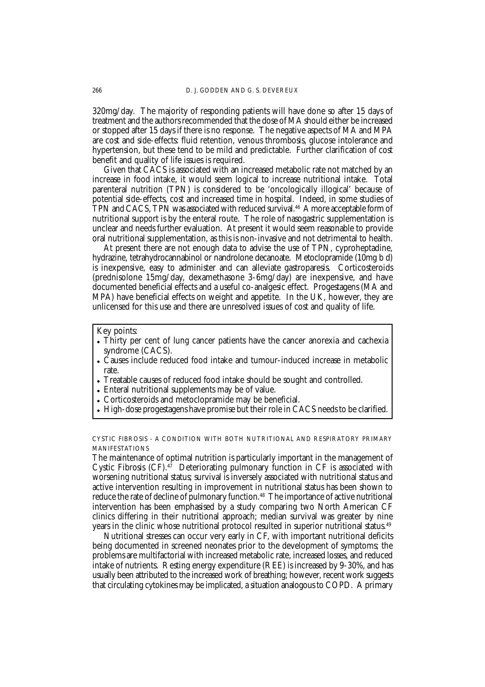320mg/day. The majority of responding patients will have done so after 15 days of treatment and the authors recommended that the dose of MA should either be increased or stopped after 15 days if there is no response. The negative aspects of MA and MPA are cost and side-effects: fluid retention, venous thrombosis, glucose intolerance and hypertension, but these tend to be mild and predictable. Further clarification of cost benefit and quality of life issues is required.

Given that CACS is associated with an increased metabolic rate not matched by an increase in food intake, it would seem logical to increase nutritional intake. Total parenteral nutrition (TPN) is considered to be 'oncologically illogical' because of potential side-effects, cost and increased time in hospital. Indeed, in some studies of TPN and CACS, TPN was associated with reduced survival.<sup>46</sup> A more acceptable form of nutritional support is by the enteral route. The role of nasogastric supplementation is unclear and needs further evaluation. At present it would seem reasonable to provide oral nutritional supplementation, as this is non-invasive and not detrimental to health.

At present there are not enough data to advise the use of TPN, cyproheptadine, hydrazine, tetrahydrocannabinol or nandrolone decanoate. Metoclopramide (10mg b d) is inexpensive, easy to administer and can alleviate gastroparesis. Corticosteroids (prednisolone 15mg/day, dexamethasone 3-6mg/day) are inexpensive, and have documented beneficial effects and a useful co-analgesic effect. Progestagens (MA and MPA) have beneficial effects on weight and appetite. In the UK, however, they are unlicensed for this use and there are unresolved issues of cost and quality of life.

#### Key points:

- Thirty per cent of lung cancer patients have the cancer anorexia and cachexia syndrome (CACS).
- Causes include reduced food intake and tumour-induced increase in metabolic rate.
- Treatable causes of reduced food intake should be sought and controlled.
- Enteral nutritional supplements may be of value.
- Corticosteroids and metoclopramide may be beneficial.
- High-dose progestagens have promise but their role in CACS needs to be clarified.

CYSTIC FIBROSIS - A CONDITION WITH BOTH NUTRITIONAL AND RESPIRATORY PRIMARY MANIFESTATIONS

The maintenance of optimal nutrition is particularly important in the management of Cystic Fibrosis  $(CF)$ .<sup>47</sup> Deteriorating pulmonary function in CF is associated with worsening nutritional status; survival is inversely associated with nutritional status and active intervention resulting in improvement in nutritional status has been shown to reduce the rate of decline of pulmonary function.<sup>48</sup> The importance of active nutritional intervention has been emphasised by a study comparing two North American CF clinics differing in their nutritional approach; median survival was greater by nine years in the clinic whose nutritional protocol resulted in superior nutritional status.49

Nutritional stresses can occur very early in CF, with important nutritional deficits being documented in screened neonates prior to the development of symptoms; the problems are multifactorial with increased metabolic rate, increased losses, and reduced intake of nutrients. Resting energy expenditure (REE) is increased by 9-30%, and has usually been attributed to the increased work of breathing; however, recent work suggests that circulating cytokines may be implicated, a situation analogous to COPD. A primary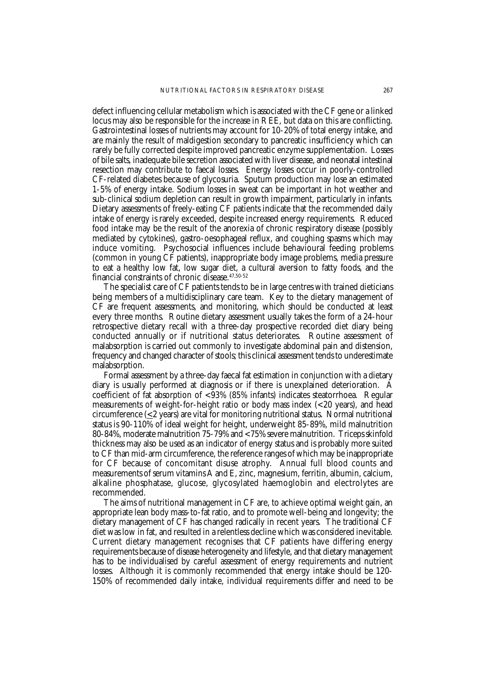defect influencing cellular metabolism which is associated with the CF gene or a linked locus may also be responsible for the increase in REE, but data on this are conflicting. Gastrointestinal losses of nutrients may account for 10-20% of total energy intake, and are mainly the result of maldigestion secondary to pancreatic insufficiency which can rarely be fully corrected despite improved pancreatic enzyme supplementation. Losses of bile salts, inadequate bile secretion associated with liver disease, and neonatal intestinal resection may contribute to faecal losses. Energy losses occur in poorly-controlled CF-related diabetes because of glycosuria. Sputum production may lose an estimated 1-5% of energy intake. Sodium losses in sweat can be important in hot weather and sub-clinical sodium depletion can result in growth impairment, particularly in infants. Dietary assessments of freely-eating CF patients indicate that the recommended daily intake of energy is rarely exceeded, despite increased energy requirements. Reduced food intake may be the result of the anorexia of chronic respiratory disease (possibly mediated by cytokines), gastro-oesophageal reflux, and coughing spasms which may induce vomiting. Psychosocial influences include behavioural feeding problems (common in young CF patients), inappropriate body image problems, media pressure to eat a healthy low fat, low sugar diet, a cultural aversion to fatty foods, and the financial constraints of chronic disease.  $47,50-52$ 

The specialist care of CF patients tends to be in large centres with trained dieticians being members of a multidisciplinary care team. Key to the dietary management of CF are frequent assessments, and monitoring, which should be conducted at least every three months. Routine dietary assessment usually takes the form of a 24-hour retrospective dietary recall with a three-day prospective recorded diet diary being conducted annually or if nutritional status deteriorates. Routine assessment of malabsorption is carried out commonly to investigate abdominal pain and distension, frequency and changed character of stools; this clinical assessment tends to underestimate malabsorption.

Formal assessment by a three-day faecal fat estimation in conjunction with a dietary diary is usually performed at diagnosis or if there is unexplained deterioration. A coefficient of fat absorption of <93% (85% infants) indicates steatorrhoea. Regular measurements of weight-for-height ratio or body mass index (<20 years), and head circumference  $(\leq 2$  years) are vital for monitoring nutritional status. Normal nutritional status is 90-110% of ideal weight for height, underweight 85-89%, mild malnutrition 80-84%, moderate malnutrition 75-79% and <75% severe malnutrition. Triceps skinfold thickness may also be used as an indicator of energy status and is probably more suited to CF than mid-arm circumference, the reference ranges of which may be inappropriate for CF because of concomitant disuse atrophy. Annual full blood counts and measurements of serum vitamins A and E, zinc, magnesium, ferritin, albumin, calcium, alkaline phosphatase, glucose, glycosylated haemoglobin and electrolytes are recommended.

The aims of nutritional management in CF are, to achieve optimal weight gain, an appropriate lean body mass-to-fat ratio, and to promote well-being and longevity; the dietary management of CF has changed radically in recent years. The traditional CF diet was low in fat, and resulted in a relentless decline which was considered inevitable. Current dietary management recognises that CF patients have differing energy requirements because of disease heterogeneity and lifestyle, and that dietary management has to be individualised by careful assessment of energy requirements and nutrient losses. Although it is commonly recommended that energy intake should be 120- 150% of recommended daily intake, individual requirements differ and need to be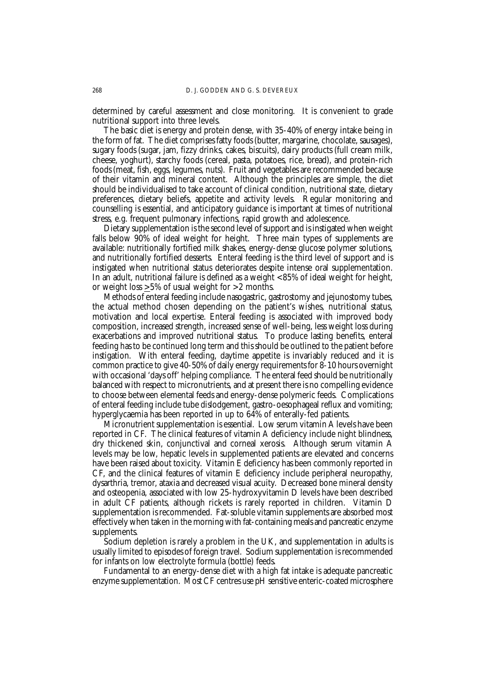determined by careful assessment and close monitoring. It is convenient to grade nutritional support into three levels.

The basic diet is energy and protein dense, with 35-40% of energy intake being in the form of fat. The diet comprises fatty foods (butter, margarine, chocolate, sausages), sugary foods (sugar, jam, fizzy drinks, cakes, biscuits), dairy products (full cream milk, cheese, yoghurt), starchy foods (cereal, pasta, potatoes, rice, bread), and protein-rich foods (meat, fish, eggs, legumes, nuts). Fruit and vegetables are recommended because of their vitamin and mineral content. Although the principles are simple, the diet should be individualised to take account of clinical condition, nutritional state, dietary preferences, dietary beliefs, appetite and activity levels. Regular monitoring and counselling is essential, and anticipatory guidance is important at times of nutritional stress, e.g. frequent pulmonary infections, rapid growth and adolescence.

Dietary supplementation is the second level of support and is instigated when weight falls below 90% of ideal weight for height. Three main types of supplements are available: nutritionally fortified milk shakes, energy-dense glucose polymer solutions, and nutritionally fortified desserts. Enteral feeding is the third level of support and is instigated when nutritional status deteriorates despite intense oral supplementation. In an adult, nutritional failure is defined as a weight <85% of ideal weight for height, or weight loss  $\geq 5\%$  of usual weight for  $>2$  months.

Methods of enteral feeding include nasogastric, gastrostomy and jejunostomy tubes, the actual method chosen depending on the patient's wishes, nutritional status, motivation and local expertise. Enteral feeding is associated with improved body composition, increased strength, increased sense of well-being, less weight loss during exacerbations and improved nutritional status. To produce lasting benefits, enteral feeding has to be continued long term and this should be outlined to the patient before instigation. With enteral feeding, daytime appetite is invariably reduced and it is common practice to give 40-50% of daily energy requirements for 8-10 hours overnight with occasional 'days off' helping compliance. The enteral feed should be nutritionally balanced with respect to micronutrients, and at present there is no compelling evidence to choose between elemental feeds and energy-dense polymeric feeds. Complications of enteral feeding include tube dislodgement, gastro-oesophageal reflux and vomiting; hyperglycaemia has been reported in up to 64% of enterally-fed patients.

Micronutrient supplementation is essential. Low serum vitamin A levels have been reported in CF. The clinical features of vitamin A deficiency include night blindness, dry thickened skin, conjunctival and corneal xerosis. Although serum vitamin A levels may be low, hepatic levels in supplemented patients are elevated and concerns have been raised about toxicity. Vitamin E deficiency has been commonly reported in CF, and the clinical features of vitamin E deficiency include peripheral neuropathy, dysarthria, tremor, ataxia and decreased visual acuity. Decreased bone mineral density and osteopenia, associated with low 25-hydroxyvitamin D levels have been described in adult CF patients, although rickets is rarely reported in children. Vitamin D supplementation is recommended. Fat-soluble vitamin supplements are absorbed most effectively when taken in the morning with fat-containing meals and pancreatic enzyme supplements.

Sodium depletion is rarely a problem in the UK, and supplementation in adults is usually limited to episodes of foreign travel. Sodium supplementation is recommended for infants on low electrolyte formula (bottle) feeds.

Fundamental to an energy-dense diet with a high fat intake is adequate pancreatic enzyme supplementation. Most CF centres use pH sensitive enteric-coated microsphere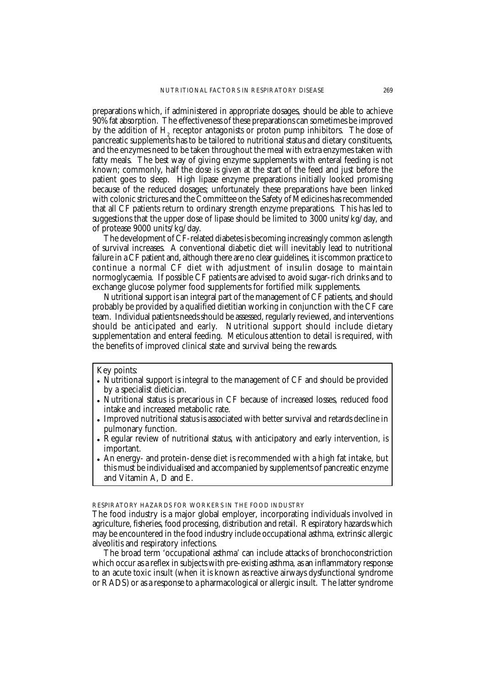preparations which, if administered in appropriate dosages, should be able to achieve 90% fat absorption. The effectiveness of these preparations can sometimes be improved by the addition of  $\mathrm{H}_2$  receptor antagonists or proton pump inhibitors. The dose of pancreatic supplements has to be tailored to nutritional status and dietary constituents, and the enzymes need to be taken throughout the meal with extra enzymes taken with fatty meals. The best way of giving enzyme supplements with enteral feeding is not known; commonly, half the dose is given at the start of the feed and just before the patient goes to sleep. High lipase enzyme preparations initially looked promising because of the reduced dosages; unfortunately these preparations have been linked with colonic strictures and the Committee on the Safety of Medicines has recommended that all CF patients return to ordinary strength enzyme preparations. This has led to suggestions that the upper dose of lipase should be limited to 3000 units/kg/day, and of protease 9000 units/kg/day.

The development of CF-related diabetes is becoming increasingly common as length of survival increases. A conventional diabetic diet will inevitably lead to nutritional failure in a CF patient and, although there are no clear guidelines, it is common practice to continue a normal CF diet with adjustment of insulin dosage to maintain normoglycaemia. If possible CF patients are advised to avoid sugar-rich drinks and to exchange glucose polymer food supplements for fortified milk supplements.

Nutritional support is an integral part of the management of CF patients, and should probably be provided by a qualified dietitian working in conjunction with the CF care team. Individual patients needs should be assessed, regularly reviewed, and interventions should be anticipated and early. Nutritional support should include dietary supplementation and enteral feeding. Meticulous attention to detail is required, with the benefits of improved clinical state and survival being the rewards.

Key points:

- Nutritional support is integral to the management of CF and should be provided by a specialist dietician.
- Nutritional status is precarious in CF because of increased losses, reduced food intake and increased metabolic rate.
- Improved nutritional status is associated with better survival and retards decline in pulmonary function.
- Regular review of nutritional status, with anticipatory and early intervention, is important.
- An energy- and protein-dense diet is recommended with a high fat intake, but this must be individualised and accompanied by supplements of pancreatic enzyme and Vitamin A, D and E.

RESPIRATORY HAZARDS FOR WORKERS IN THE FOOD INDUSTRY

The broad term 'occupational asthma' can include attacks of bronchoconstriction which occur as a reflex in subjects with pre-existing asthma, as an inflammatory response to an acute toxic insult (when it is known as reactive airways dysfunctional syndrome or RADS) or as a response to a pharmacological or allergic insult. The latter syndrome

The food industry is a major global employer, incorporating individuals involved in agriculture, fisheries, food processing, distribution and retail. Respiratory hazards which may be encountered in the food industry include occupational asthma, extrinsic allergic alveolitis and respiratory infections.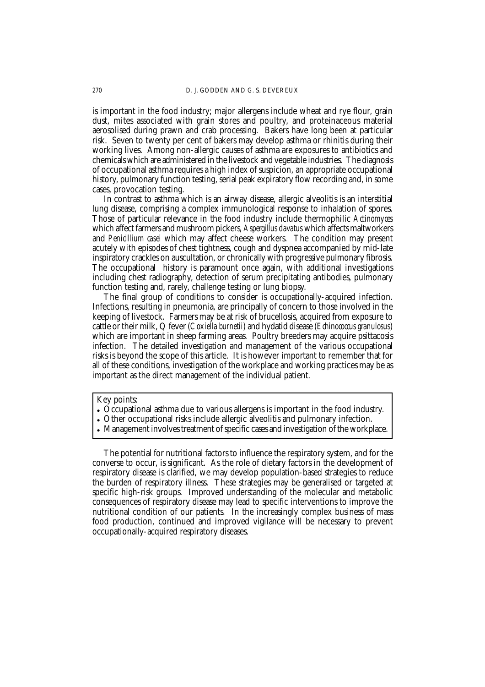is important in the food industry; major allergens include wheat and rye flour, grain dust, mites associated with grain stores and poultry, and proteinaceous material aerosolised during prawn and crab processing. Bakers have long been at particular risk. Seven to twenty per cent of bakers may develop asthma or rhinitis during their working lives. Among non-allergic causes of asthma are exposures to antibiotics and chemicals which are administered in the livestock and vegetable industries. The diagnosis of occupational asthma requires a high index of suspicion, an appropriate occupational history, pulmonary function testing, serial peak expiratory flow recording and, in some cases, provocation testing.

In contrast to asthma which is an airway disease, allergic alveolitis is an interstitial lung disease, comprising a complex immunological response to inhalation of spores. Those of particular relevance in the food industry include thermophilic *Actinomyces* which affect farmers and mushroom pickers, *Aspergillus clavatus* which affects maltworkers and *Penicillium casei* which may affect cheese workers. The condition may present acutely with episodes of chest tightness, cough and dyspnea accompanied by mid-late inspiratory crackles on auscultation, or chronically with progressive pulmonary fibrosis. The occupational history is paramount once again, with additional investigations including chest radiography, detection of serum precipitating antibodies, pulmonary function testing and, rarely, challenge testing or lung biopsy.

The final group of conditions to consider is occupationally-acquired infection. Infections, resulting in pneumonia, are principally of concern to those involved in the keeping of livestock. Farmers may be at risk of brucellosis, acquired from exposure to cattle or their milk, Q fever (*Coxiella burnetii*) and hydatid disease (*Echinococcus granulosus*) which are important in sheep farming areas. Poultry breeders may acquire psittacosis infection. The detailed investigation and management of the various occupational risks is beyond the scope of this article. It is however important to remember that for all of these conditions, investigation of the workplace and working practices may be as important as the direct management of the individual patient.

Key points:

- Occupational asthma due to various allergens is important in the food industry.
- Other occupational risks include allergic alveolitis and pulmonary infection.
- Management involves treatment of specific cases and investigation of the workplace.

The potential for nutritional factors to influence the respiratory system, and for the converse to occur, is significant. As the role of dietary factors in the development of respiratory disease is clarified, we may develop population-based strategies to reduce the burden of respiratory illness. These strategies may be generalised or targeted at specific high-risk groups. Improved understanding of the molecular and metabolic consequences of respiratory disease may lead to specific interventions to improve the nutritional condition of our patients. In the increasingly complex business of mass food production, continued and improved vigilance will be necessary to prevent occupationally-acquired respiratory diseases.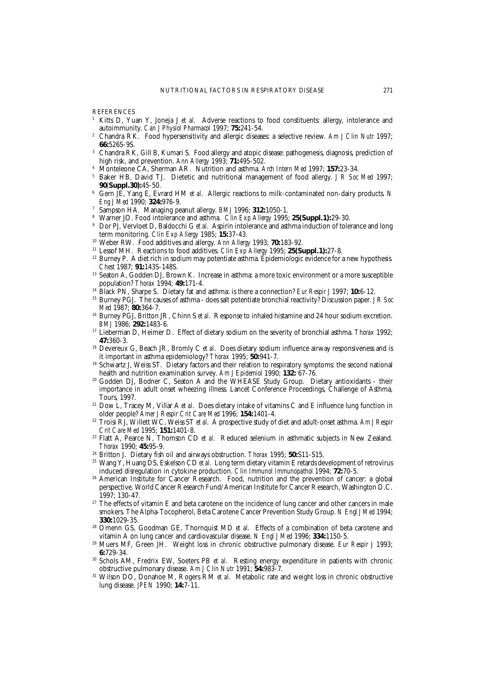**REFERENCES** 

- <sup>1</sup> Kitts D, Yuan Y, Joneja J et al. Adverse reactions to food constituents: allergy, intolerance and autoimmunity. *Can J Physiol Pharmacol* 1997; **75:**241-54.
- <sup>2</sup> Chandra RK. Food hypersensitivity and allergic diseases: a selective review. *Am J Clin Nutr* 1997; **66:**526S-9S.
- <sup>3</sup> Chandra RK, Gill B, Kumari S. Food allergy and atopic disease: pathogenesis, diagnosis, prediction of high risk, and prevention. *Ann Allergy* 1993; **71:**495-502.
- <sup>4</sup> Monteleone CA, Sherman AR. Nutrition and asthma. *Arch Intern Med* 1997; **157:**23-34.
- <sup>5</sup> Baker HB, David TJ. Dietetic and nutritional management of food allergy. *J R Soc Med* 1997; **90**(**Suppl.30):**45-50.
- <sup>6</sup> Gern JE, Yang E, Evrard HM *et al*. Allergic reactions to milk-contaminated non-dairy products. *N Eng J Med* 1990; **324:**976-9.
- <sup>7</sup> Sampson HA. Managing peanut allergy. *BMJ* 1996; **312:**1050-1.
- <sup>8</sup> Warner JO. Food intolerance and asthma. *Clin Exp Allergy* 1995; **25(Suppl.1):**29-30.
- <sup>9</sup> Dor PJ, Vervloet D, Baldocchi G *et al*. Aspirin intolerance and asthma induction of tolerance and long term monitoring. *Clin Exp Allergy* 1985; **15:**37-43.
- <sup>10</sup> Weber RW. Food additives and allergy. *Ann Allergy* 1993; **70:**183-92.
- <sup>11</sup> Lessof MH. Reactions to food additives. *Clin Exp Allergy* 1995; **25(Suppl.1):**27-8.
- <sup>12</sup> Burney P. A diet rich in sodium may potentiate asthma. Epidemiologic evidence for a new hypothesis. *Chest* 1987; **91:**143S-148S.
- <sup>13</sup> Seaton A, Godden DJ, Brown K. Increase in asthma: a more toxic environment or a more susceptible population? *Thorax* 1994; **49:**171-4.
- <sup>14</sup> Black PN, Sharpe S. Dietary fat and asthma: is there a connection? *Eur Respir J* 1997; **10:**6-12.
- <sup>15</sup> Burney PGJ. The causes of asthma does salt potentiate bronchial reactivity? Discussion paper. *J R Soc Med* 1987; **80:**364-7.
- <sup>16</sup> Burney PGJ, Britton JR, Chinn S *et al*. Response to inhaled histamine and 24 hour sodium excretion. *BMJ* 1986; **292:**1483-6.
- <sup>17</sup> Lieberman D, Heimer D. Effect of dietary sodium on the severity of bronchial asthma. *Thorax* 1992; **47:**360-3.
- <sup>18</sup> Devereux G, Beach JR, Bromly C *et al*. Does dietary sodium influence airway responsiveness and is it important in asthma epidemiology? *Thorax* 1995; **50:**941-7.
- <sup>19</sup> Schwartz J, Weiss ST. Dietary factors and their relation to respiratory symptoms: the second national health and nutrition examination survey. *Am J Epidemiol* 1990; **132:** 67-76.
- <sup>20</sup> Godden DJ, Bodner C, Seaton A and the WHEASE Study Group. Dietary antioxidants their importance in adult onset wheezing illness. Lancet Conference Proceedings, Challenge of Asthma, Tours, 1997.
- <sup>21</sup> Dow L, Tracey M, Villar A *et al*. Does dietary intake of vitamins C and E influence lung function in older people? *Amer J Respir Crit Care Med* 1996; **154:**1401-4.
- <sup>22</sup> Troisi RJ, Willett WC, Weiss ST *et al*. A prospective study of diet and adult-onset asthma. *Am J Respir Crit Care Med* 1995; **151:**1401-8.
- <sup>23</sup> Flatt A, Pearce N, Thomson CD *et al*. Reduced selenium in asthmatic subjects in New Zealand. *Thorax* 1990; **45:**95-9.
- <sup>24</sup> Britton J. Dietary fish oil and airways obstruction. *Thorax* 1995; **50:**S11-S15.
- <sup>25</sup> Wang Y, Huang DS, Eskelson CD *et al*. Long term dietary vitamin E retards development of retrovirus induced disregulation in cytokine production. *Clin Immunol Immunopathol* 1994; **72:**70-5.
- <sup>26</sup> American Institute for Cancer Research. Food, nutrition and the prevention of cancer: a global perspective. World Cancer Research Fund/American Institute for Cancer Research, Washington D.C. 1997; 130-47.
- <sup>27</sup> The effects of vitamin E and beta carotene on the incidence of lung cancer and other cancers in male smokers. The Alpha-Tocopherol, Beta Carotene Cancer Prevention Study Group. *N Engl J Med* 1994; **330:**1029-35.
- <sup>28</sup> Omenn GS, Goodman GE, Thornquist MD *et al*. Effects of a combination of beta carotene and vitamin A on lung cancer and cardiovascular disease. *N Engl J Med* 1996; **334:**1150-5.
- <sup>29</sup> Muers MF, Green JH. Weight loss in chronic obstructive pulmonary disease. *Eur Respir J* 1993; **6:**729-34.
- <sup>30</sup> Schols AM, Fredrix EW, Soeters PB *et al*. Resting energy expenditure in patients with chronic obstructive pulmonary disease. *Am J Clin Nutr* 1991; **54:**983-7.
- <sup>31</sup> Wilson DO, Donahoe M, Rogers RM *et al*. Metabolic rate and weight loss in chronic obstructive lung disease. *JPEN* 1990; **14:**7-11.